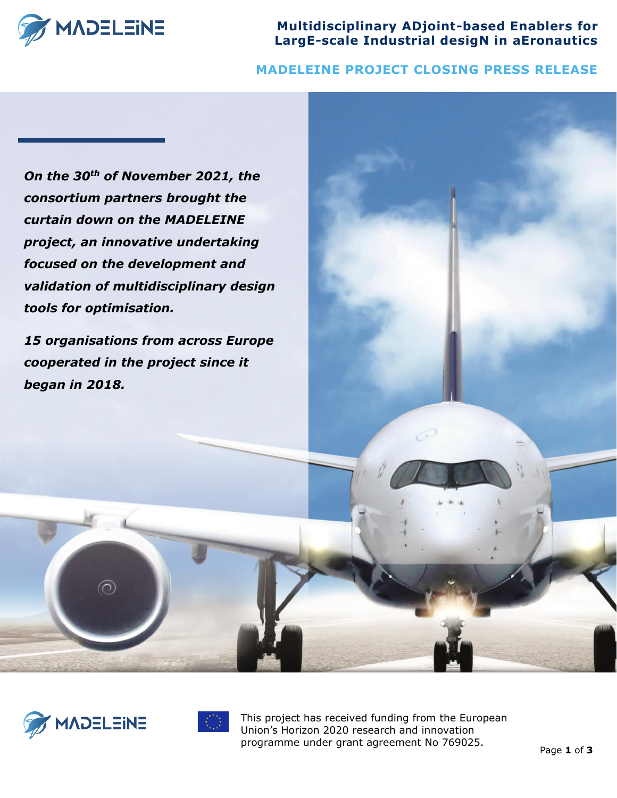

**Multidisciplinary ADjoint-based Enablers for LargE-scale Industrial desigN in aEronautics**

## **MADELEINE PROJECT CLOSING PRESS RELEASE**

*On the 30th of November 2021, the consortium partners brought the curtain down on the MADELEINE project, an innovative undertaking focused on the development and validation of multidisciplinary design tools for optimisation.*

*15 organisations from across Europe cooperated in the project since it began in 2018.*



 $\odot$ 



This project has received funding from the European Union's Horizon 2020 research and innovation programme under grant agreement No 769025.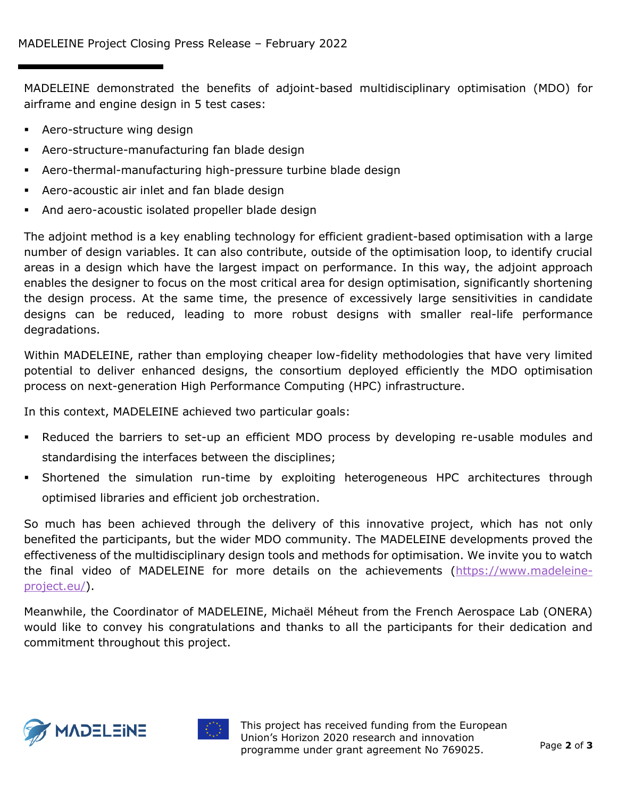MADELEINE demonstrated the benefits of adjoint-based multidisciplinary optimisation (MDO) for airframe and engine design in 5 test cases:

- Aero-structure wing design
- Aero-structure-manufacturing fan blade design
- Aero-thermal-manufacturing high-pressure turbine blade design
- Aero-acoustic air inlet and fan blade design
- And aero-acoustic isolated propeller blade design

The adjoint method is a key enabling technology for efficient gradient-based optimisation with a large number of design variables. It can also contribute, outside of the optimisation loop, to identify crucial areas in a design which have the largest impact on performance. In this way, the adjoint approach enables the designer to focus on the most critical area for design optimisation, significantly shortening the design process. At the same time, the presence of excessively large sensitivities in candidate designs can be reduced, leading to more robust designs with smaller real-life performance degradations.

Within MADELEINE, rather than employing cheaper low-fidelity methodologies that have very limited potential to deliver enhanced designs, the consortium deployed efficiently the MDO optimisation process on next-generation High Performance Computing (HPC) infrastructure.

In this context, MADELEINE achieved two particular goals:

- Reduced the barriers to set-up an efficient MDO process by developing re-usable modules and standardising the interfaces between the disciplines;
- Shortened the simulation run-time by exploiting heterogeneous HPC architectures through optimised libraries and efficient job orchestration.

So much has been achieved through the delivery of this innovative project, which has not only benefited the participants, but the wider MDO community. The MADELEINE developments proved the effectiveness of the multidisciplinary design tools and methods for optimisation. We invite you to watch the final video of MADELEINE for more details on the achievements [\(https://www.madeleine](https://www.madeleine-project.eu/)[project.eu/\)](https://www.madeleine-project.eu/).

Meanwhile, the Coordinator of MADELEINE, Michaël Méheut from the French Aerospace Lab (ONERA) would like to convey his congratulations and thanks to all the participants for their dedication and commitment throughout this project.